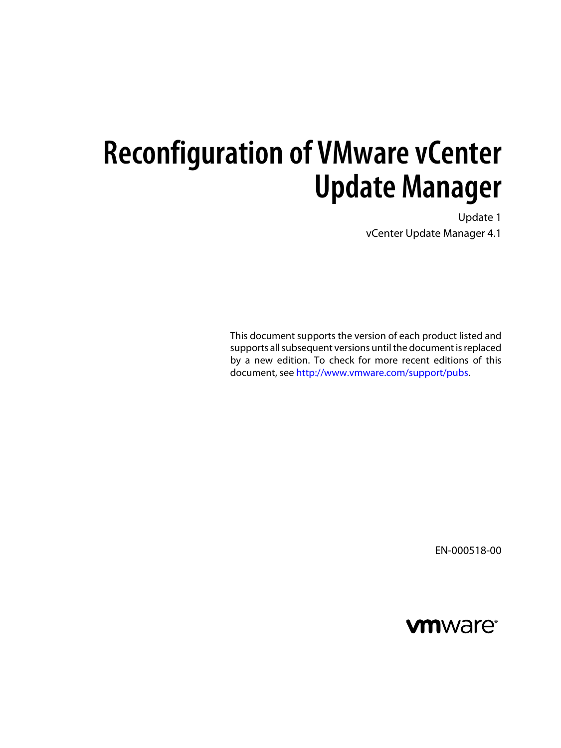Update 1 vCenter Update Manager 4.1

This document supports the version of each product listed and supports all subsequent versions until the document is replaced by a new edition. To check for more recent editions of this document, see [http://www.vmware.com/support/pubs.](http://www.vmware.com/support/pubs)

EN-000518-00

## **vm**ware<sup>®</sup>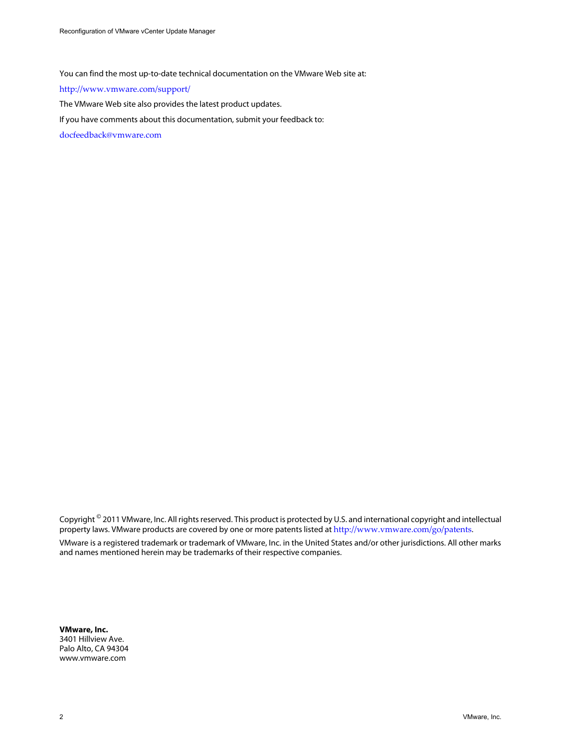You can find the most up-to-date technical documentation on the VMware Web site at:

<http://www.vmware.com/support/>

The VMware Web site also provides the latest product updates.

If you have comments about this documentation, submit your feedback to:

[docfeedback@vmware.com](mailto:docfeedback@vmware.com)

Copyright  $^\circ$  2011 VMware, Inc. All rights reserved. This product is protected by U.S. and international copyright and intellectual property laws. VMware products are covered by one or more patents listed at <http://www.vmware.com/go/patents>. VMware is a registered trademark or trademark of VMware, Inc. in the United States and/or other jurisdictions. All other marks and names mentioned herein may be trademarks of their respective companies.

**VMware, Inc.** 3401 Hillview Ave. Palo Alto, CA 94304 www.vmware.com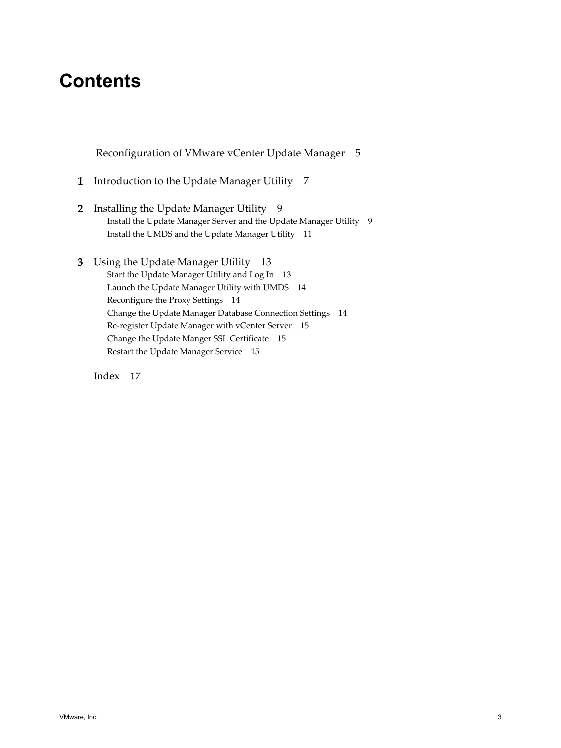## **Contents**

 [Reconfiguration of VMware vCenter Update Manager 5](#page-4-0)

- **1** [Introduction to the Update Manager Utility 7](#page-6-0)
- **2** [Installing the Update Manager Utility](#page-8-0) 9 Ins[tall the Update Manager Server and the Update Manager Utility](#page-8-0) 9 Ins[tall the UMDS and the Update Manager Utility](#page-10-0) 11
- **3** [Using the Update Manager Utility 13](#page-12-0) Sta[rt the Update Manager Utility and Log In](#page-12-0) 13 La[unch the Update Manager Utility with UMDS](#page-13-0) 14 Rec[onfigure the Proxy Settings 14](#page-13-0) Ch[ange the Update Manager Database Connection Settings 14](#page-13-0) Re-[register Update Manager with vCenter Server](#page-14-0) 15 Ch[ange the Update Manger SSL Certificate 15](#page-14-0) Res[tart the Update Manager Service 15](#page-14-0)

[Index 17](#page-16-0)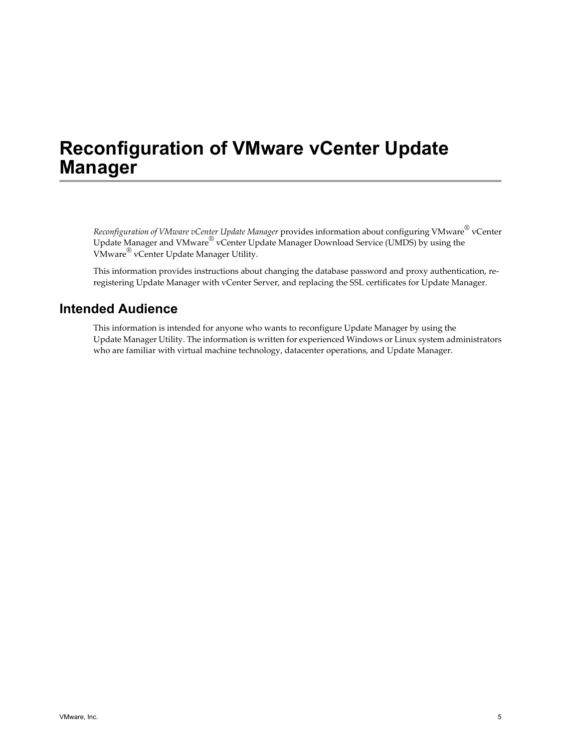<span id="page-4-0"></span>*Reconfiguration of VMware vCenter Update Manager* provides information about configuring VMware® vCenter Update Manager and VMware® vCenter Update Manager Download Service (UMDS) by using the VMware® vCenter Update Manager Utility.

This information provides instructions about changing the database password and proxy authentication, reregistering Update Manager with vCenter Server, and replacing the SSL certificates for Update Manager.

## **Intended Audience**

This information is intended for anyone who wants to reconfigure Update Manager by using the Update Manager Utility. The information is written for experienced Windows or Linux system administrators who are familiar with virtual machine technology, datacenter operations, and Update Manager.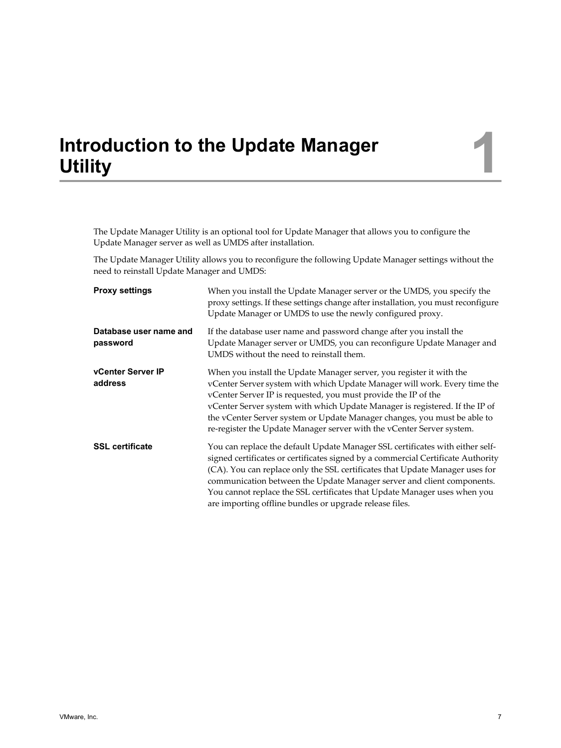## <span id="page-6-0"></span>**Introduction to the Update Manager** Introduction to the Update Manager<br>Utility

The Update Manager Utility is an optional tool for Update Manager that allows you to configure the Update Manager server as well as UMDS after installation.

The Update Manager Utility allows you to reconfigure the following Update Manager settings without the need to reinstall Update Manager and UMDS:

| <b>Proxy settings</b>               | When you install the Update Manager server or the UMDS, you specify the<br>proxy settings. If these settings change after installation, you must reconfigure<br>Update Manager or UMDS to use the newly configured proxy.                                                                                                                                                                                                                                           |
|-------------------------------------|---------------------------------------------------------------------------------------------------------------------------------------------------------------------------------------------------------------------------------------------------------------------------------------------------------------------------------------------------------------------------------------------------------------------------------------------------------------------|
| Database user name and<br>password  | If the database user name and password change after you install the<br>Update Manager server or UMDS, you can reconfigure Update Manager and<br>UMDS without the need to reinstall them.                                                                                                                                                                                                                                                                            |
| <b>vCenter Server IP</b><br>address | When you install the Update Manager server, you register it with the<br>vCenter Server system with which Update Manager will work. Every time the<br>vCenter Server IP is requested, you must provide the IP of the<br>vCenter Server system with which Update Manager is registered. If the IP of<br>the vCenter Server system or Update Manager changes, you must be able to<br>re-register the Update Manager server with the vCenter Server system.             |
| <b>SSL certificate</b>              | You can replace the default Update Manager SSL certificates with either self-<br>signed certificates or certificates signed by a commercial Certificate Authority<br>(CA). You can replace only the SSL certificates that Update Manager uses for<br>communication between the Update Manager server and client components.<br>You cannot replace the SSL certificates that Update Manager uses when you<br>are importing offline bundles or upgrade release files. |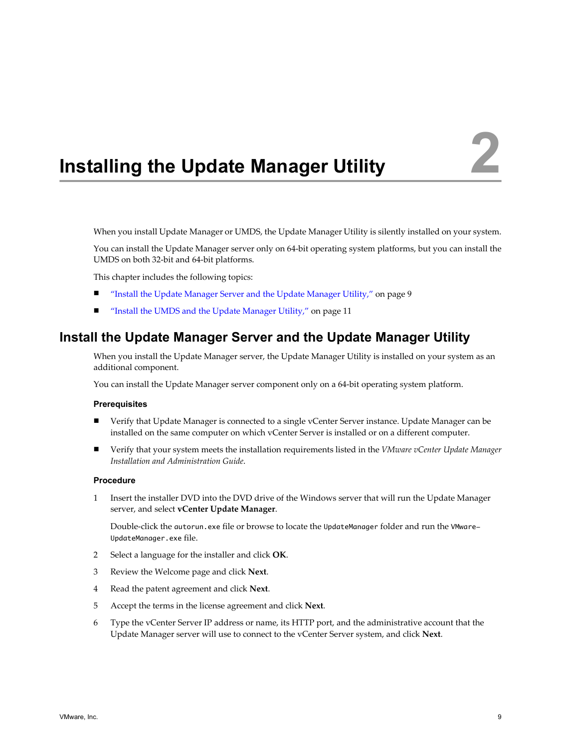# <span id="page-8-0"></span>**Installing the Update Manager Utility 2**

When you install Update Manager or UMDS, the Update Manager Utility is silently installed on your system.

You can install the Update Manager server only on 64-bit operating system platforms, but you can install the UMDS on both 32-bit and 64-bit platforms.

This chapter includes the following topics:

- "Install the Update Manager Server and the Update Manager Utility," on page 9
- ["Install the UMDS and the Update Manager Utility," on page 11](#page-10-0)

## **Install the Update Manager Server and the Update Manager Utility**

When you install the Update Manager server, the Update Manager Utility is installed on your system as an additional component.

You can install the Update Manager server component only on a 64-bit operating system platform.

#### **Prerequisites**

- Verify that Update Manager is connected to a single vCenter Server instance. Update Manager can be installed on the same computer on which vCenter Server is installed or on a different computer.
- Verify that your system meets the installation requirements listed in the *VMware vCenter Update Manager Installation and Administration Guide*.

#### **Procedure**

1 Insert the installer DVD into the DVD drive of the Windows server that will run the Update Manager server, and select **vCenter Update Manager**.

Double-click the autorun.exe file or browse to locate the UpdateManager folder and run the VMware-UpdateManager.exe file.

- 2 Select a language for the installer and click **OK**.
- 3 Review the Welcome page and click **Next**.
- 4 Read the patent agreement and click **Next**.
- 5 Accept the terms in the license agreement and click **Next**.
- 6 Type the vCenter Server IP address or name, its HTTP port, and the administrative account that the Update Manager server will use to connect to the vCenter Server system, and click **Next**.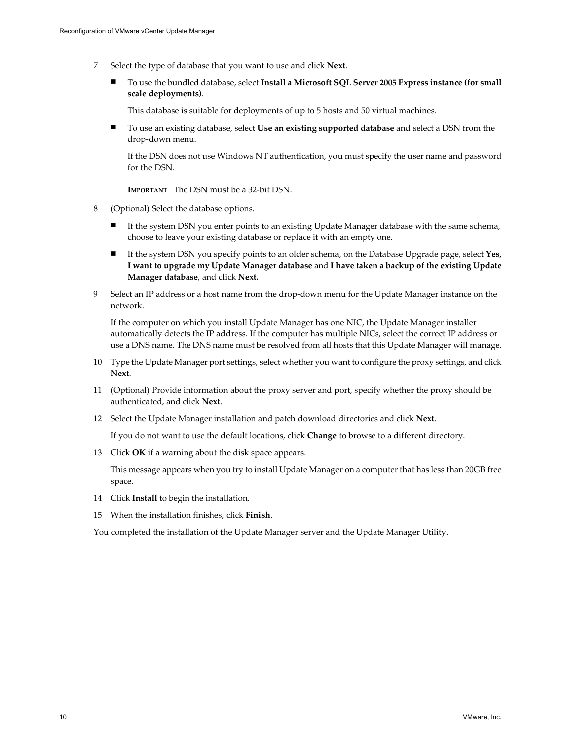- 7 Select the type of database that you want to use and click **Next**.
	- n To use the bundled database, select **Install a Microsoft SQL Server 2005 Express instance (for small scale deployments)**.

This database is suitable for deployments of up to 5 hosts and 50 virtual machines.

n To use an existing database, select **Use an existing supported database** and select a DSN from the drop-down menu.

If the DSN does not use Windows NT authentication, you must specify the user name and password for the DSN.

**IMPORTANT** The DSN must be a 32-bit DSN.

- 8 (Optional) Select the database options.
	- If the system DSN you enter points to an existing Update Manager database with the same schema, choose to leave your existing database or replace it with an empty one.
	- n If the system DSN you specify points to an older schema, on the Database Upgrade page, select **Yes, I want to upgrade my Update Manager database** and **I have taken a backup of the existing Update Manager database**, and click **Next.**
- 9 Select an IP address or a host name from the drop-down menu for the Update Manager instance on the network.

If the computer on which you install Update Manager has one NIC, the Update Manager installer automatically detects the IP address. If the computer has multiple NICs, select the correct IP address or use a DNS name. The DNS name must be resolved from all hosts that this Update Manager will manage.

- 10 Type the Update Manager port settings, select whether you want to configure the proxy settings, and click **Next**.
- 11 (Optional) Provide information about the proxy server and port, specify whether the proxy should be authenticated, and click **Next**.
- 12 Select the Update Manager installation and patch download directories and click **Next**.

If you do not want to use the default locations, click **Change** to browse to a different directory.

13 Click **OK** if a warning about the disk space appears.

This message appears when you try to install Update Manager on a computer that has less than 20GB free space.

- 14 Click **Install** to begin the installation.
- 15 When the installation finishes, click **Finish**.

You completed the installation of the Update Manager server and the Update Manager Utility.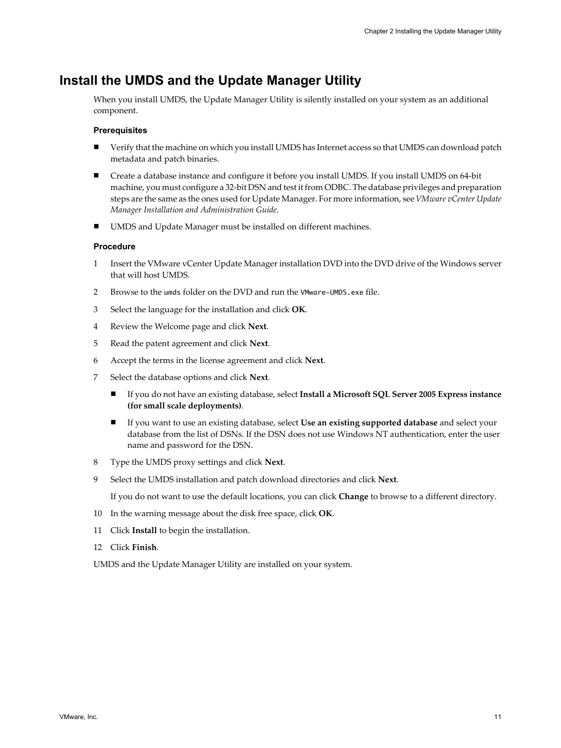## <span id="page-10-0"></span>**Install the UMDS and the Update Manager Utility**

When you install UMDS, the Update Manager Utility is silently installed on your system as an additional component.

#### **Prerequisites**

- Verify that the machine on which you install UMDS has Internet access so that UMDS can download patch metadata and patch binaries.
- Create a database instance and configure it before you install UMDS. If you install UMDS on 64-bit machine, you must configure a 32-bit DSN and test it from ODBC. The database privileges and preparation steps are the same as the ones used for Update Manager. For more information, see *VMware vCenter Update Manager Installation and Administration Guide*.
- UMDS and Update Manager must be installed on different machines.

#### **Procedure**

- 1 Insert the VMware vCenter Update Manager installation DVD into the DVD drive of the Windows server that will host UMDS.
- 2 Browse to the umds folder on the DVD and run the VMware-UMDS.exe file.
- 3 Select the language for the installation and click **OK**.
- 4 Review the Welcome page and click **Next**.
- 5 Read the patent agreement and click **Next**.
- 6 Accept the terms in the license agreement and click **Next**.
- 7 Select the database options and click **Next**.
	- n If you do not have an existing database, select **Install a Microsoft SQL Server 2005 Express instance (for small scale deployments)**.
	- n If you want to use an existing database, select **Use an existing supported database** and select your database from the list of DSNs. If the DSN does not use Windows NT authentication, enter the user name and password for the DSN.
- 8 Type the UMDS proxy settings and click **Next**.
- 9 Select the UMDS installation and patch download directories and click **Next**.

If you do not want to use the default locations, you can click **Change** to browse to a different directory.

- 10 In the warning message about the disk free space, click **OK**.
- 11 Click **Install** to begin the installation.
- 12 Click **Finish**.

UMDS and the Update Manager Utility are installed on your system.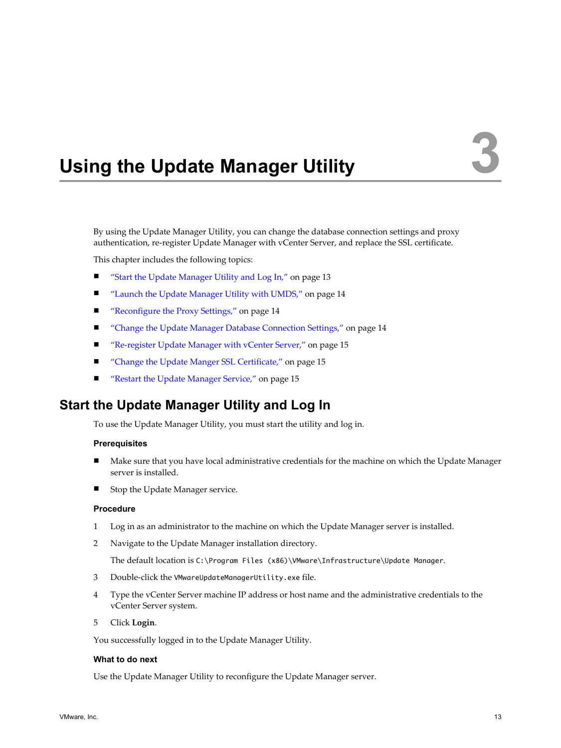# <span id="page-12-0"></span>**Using the Update Manager Utility 3**

By using the Update Manager Utility, you can change the database connection settings and proxy authentication, re-register Update Manager with vCenter Server, and replace the SSL certificate.

This chapter includes the following topics:

- "Start the Update Manager Utility and Log In," on page 13
- *"Launch the Update Manager Utility with UMDS,"* on page 14
- **n** ["Reconfigure the Proxy Settings," on page 14](#page-13-0)
- ["Change the Update Manager Database Connection Settings," on page 14](#page-13-0)
- ["Re-register Update Manager with vCenter Server," on page 15](#page-14-0)
- ["Change the Update Manger SSL Certificate," on page 15](#page-14-0)
- **n** ["Restart the Update Manager Service," on page 15](#page-14-0)

## **Start the Update Manager Utility and Log In**

To use the Update Manager Utility, you must start the utility and log in.

#### **Prerequisites**

- Make sure that you have local administrative credentials for the machine on which the Update Manager server is installed.
- Stop the Update Manager service.

#### **Procedure**

- 1 Log in as an administrator to the machine on which the Update Manager server is installed.
- 2 Navigate to the Update Manager installation directory.

The default location is C:\Program Files (x86)\VMware\Infrastructure\Update Manager.

- 3 Double-click the VMwareUpdateManagerUtility.exe file.
- 4 Type the vCenter Server machine IP address or host name and the administrative credentials to the vCenter Server system.
- 5 Click **Login**.

You successfully logged in to the Update Manager Utility.

#### **What to do next**

Use the Update Manager Utility to reconfigure the Update Manager server.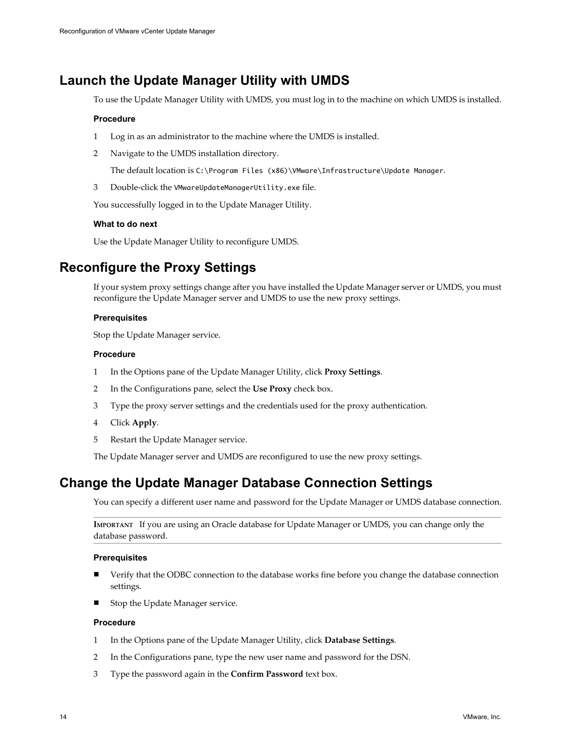## <span id="page-13-0"></span>**Launch the Update Manager Utility with UMDS**

To use the Update Manager Utility with UMDS, you must log in to the machine on which UMDS is installed.

#### **Procedure**

- 1 Log in as an administrator to the machine where the UMDS is installed.
- 2 Navigate to the UMDS installation directory.

The default location is C:\Program Files (x86)\VMware\Infrastructure\Update Manager.

3 Double-click the VMwareUpdateManagerUtility.exe file.

You successfully logged in to the Update Manager Utility.

#### **What to do next**

Use the Update Manager Utility to reconfigure UMDS.

## **Reconfigure the Proxy Settings**

If your system proxy settings change after you have installed the Update Manager server or UMDS, you must reconfigure the Update Manager server and UMDS to use the new proxy settings.

#### **Prerequisites**

Stop the Update Manager service.

#### **Procedure**

- 1 In the Options pane of the Update Manager Utility, click **Proxy Settings**.
- 2 In the Configurations pane, select the **Use Proxy** check box.
- 3 Type the proxy server settings and the credentials used for the proxy authentication.
- 4 Click **Apply**.
- 5 Restart the Update Manager service.

The Update Manager server and UMDS are reconfigured to use the new proxy settings.

## **Change the Update Manager Database Connection Settings**

You can specify a different user name and password for the Update Manager or UMDS database connection.

**IMPORTANT** If you are using an Oracle database for Update Manager or UMDS, you can change only the database password.

#### **Prerequisites**

- Verify that the ODBC connection to the database works fine before you change the database connection settings.
- Stop the Update Manager service.

#### **Procedure**

- 1 In the Options pane of the Update Manager Utility, click **Database Settings**.
- 2 In the Configurations pane, type the new user name and password for the DSN.
- 3 Type the password again in the **Confirm Password** text box.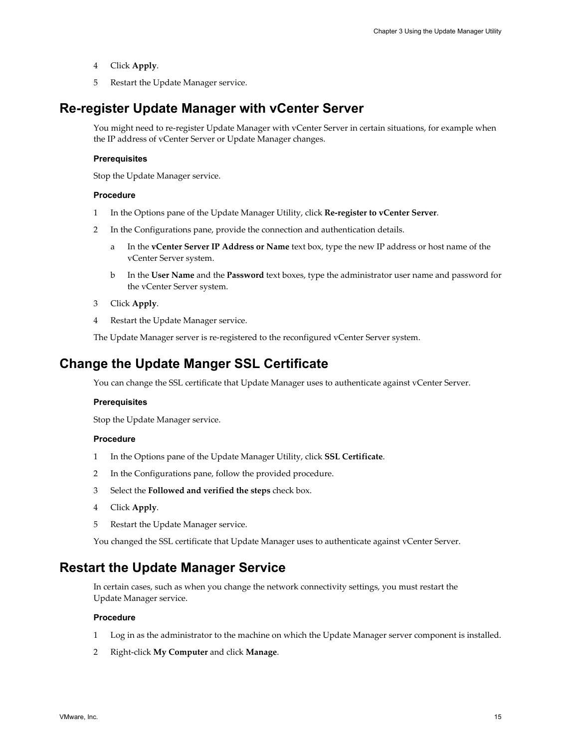- <span id="page-14-0"></span>4 Click **Apply**.
- 5 Restart the Update Manager service.

## **Re-register Update Manager with vCenter Server**

You might need to re-register Update Manager with vCenter Server in certain situations, for example when the IP address of vCenter Server or Update Manager changes.

#### **Prerequisites**

Stop the Update Manager service.

#### **Procedure**

- 1 In the Options pane of the Update Manager Utility, click **Re-register to vCenter Server**.
- 2 In the Configurations pane, provide the connection and authentication details.
	- a In the **vCenter Server IP Address or Name** text box, type the new IP address or host name of the vCenter Server system.
	- b In the **User Name** and the **Password** text boxes, type the administrator user name and password for the vCenter Server system.
- 3 Click **Apply**.
- 4 Restart the Update Manager service.

The Update Manager server is re-registered to the reconfigured vCenter Server system.

## **Change the Update Manger SSL Certificate**

You can change the SSL certificate that Update Manager uses to authenticate against vCenter Server.

#### **Prerequisites**

Stop the Update Manager service.

#### **Procedure**

- 1 In the Options pane of the Update Manager Utility, click **SSL Certificate**.
- 2 In the Configurations pane, follow the provided procedure.
- 3 Select the **Followed and verified the steps** check box.
- 4 Click **Apply**.
- 5 Restart the Update Manager service.

You changed the SSL certificate that Update Manager uses to authenticate against vCenter Server.

## **Restart the Update Manager Service**

In certain cases, such as when you change the network connectivity settings, you must restart the Update Manager service.

#### **Procedure**

- 1 Log in as the administrator to the machine on which the Update Manager server component is installed.
- 2 Right-click **My Computer** and click **Manage**.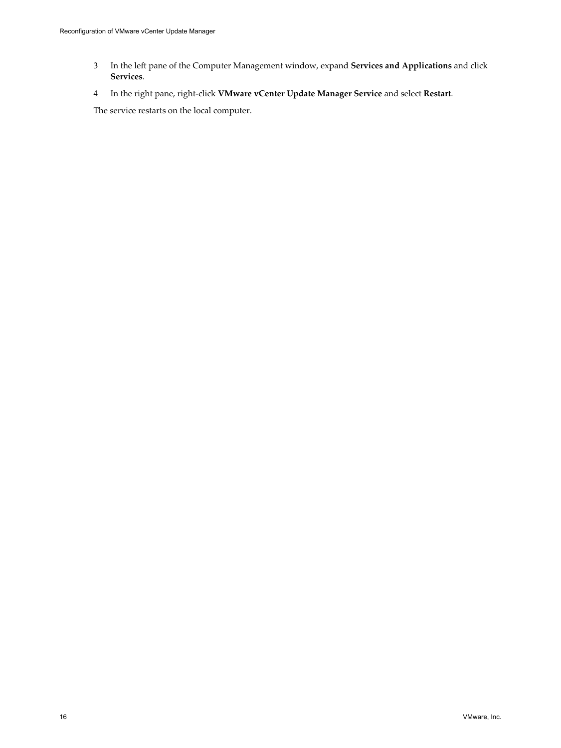- 3 In the left pane of the Computer Management window, expand **Services and Applications** and click **Services**.
- 4 In the right pane, right-click **VMware vCenter Update Manager Service** and select **Restart**.

The service restarts on the local computer.